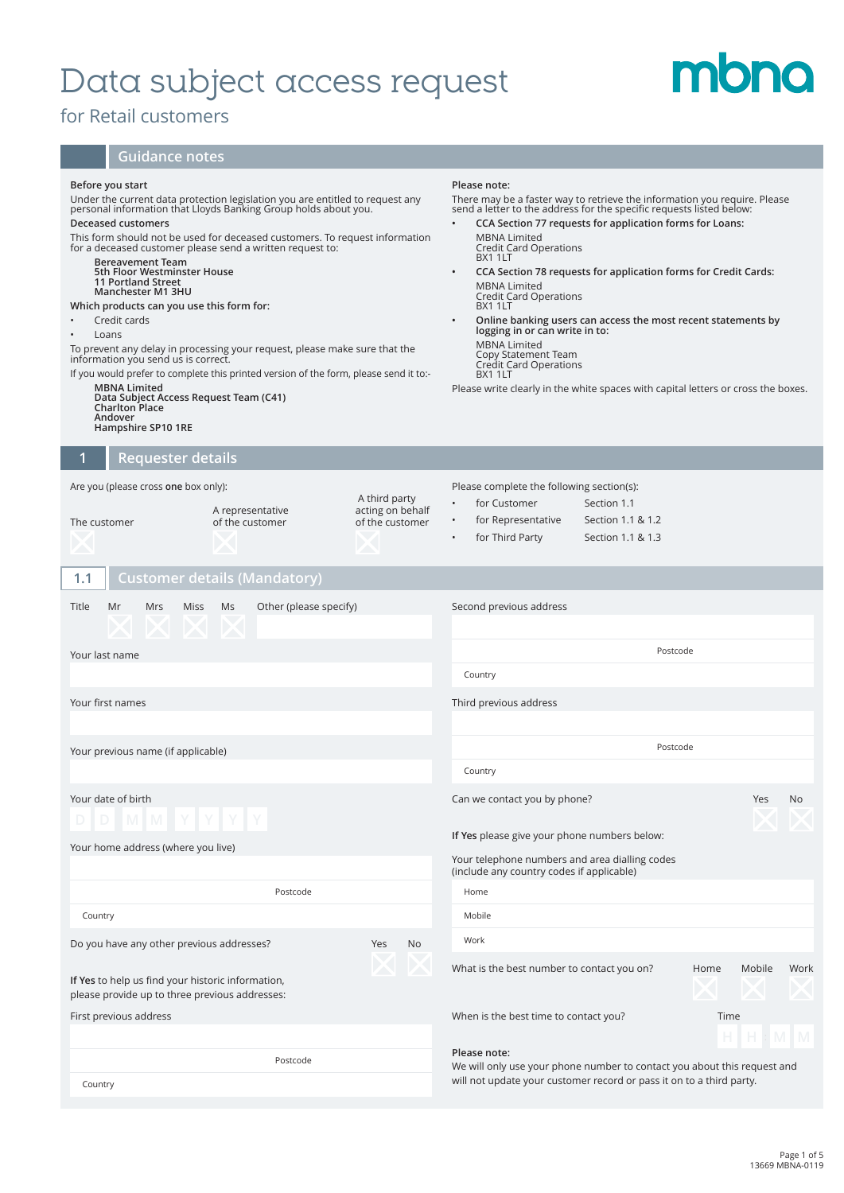## Data subject access request

## for Retail customers

## **Guidance notes**

| Before you start<br>Under the current data protection legislation you are entitled to request any<br>personal information that Lloyds Banking Group holds about you.<br>Deceased customers<br>This form should not be used for deceased customers. To request information<br>for a deceased customer please send a written request to:<br><b>Bereavement Team</b><br>5th Floor Westminster House<br><b>11 Portland Street</b><br>Manchester M1 3HU<br>Which products can you use this form for:<br>Credit cards<br>Loans<br>To prevent any delay in processing your request, please make sure that the<br>information you send us is correct.<br>If you would prefer to complete this printed version of the form, please send it to:-<br><b>MBNA Limited</b><br>Data Subject Access Request Team (C41)<br>Charlton Place<br>Andover<br>Hampshire SP10 1RE |                                     |                                                      | Please note:<br>There may be a faster way to retrieve the information you require. Please<br>send a letter to the address for the specific requests listed below:<br>CCA Section 77 requests for application forms for Loans:<br>MBNA Limited<br>Credit Card Operations<br>BX1 1LT<br>CCA Section 78 requests for application forms for Credit Cards:<br>$\bullet$<br><b>MBNA Limited</b><br>Credit Card Operations<br>BX1 1LT<br>Online banking users can access the most recent statements by<br>logging in or can write in to:<br><b>MBNA Limited</b><br>Copy Statement Team<br>Credit Card Operations<br>BX1 1LT<br>Please write clearly in the white spaces with capital letters or cross the boxes. |          |            |      |
|------------------------------------------------------------------------------------------------------------------------------------------------------------------------------------------------------------------------------------------------------------------------------------------------------------------------------------------------------------------------------------------------------------------------------------------------------------------------------------------------------------------------------------------------------------------------------------------------------------------------------------------------------------------------------------------------------------------------------------------------------------------------------------------------------------------------------------------------------------|-------------------------------------|------------------------------------------------------|-----------------------------------------------------------------------------------------------------------------------------------------------------------------------------------------------------------------------------------------------------------------------------------------------------------------------------------------------------------------------------------------------------------------------------------------------------------------------------------------------------------------------------------------------------------------------------------------------------------------------------------------------------------------------------------------------------------|----------|------------|------|
| <b>Requester details</b><br>1                                                                                                                                                                                                                                                                                                                                                                                                                                                                                                                                                                                                                                                                                                                                                                                                                              |                                     |                                                      |                                                                                                                                                                                                                                                                                                                                                                                                                                                                                                                                                                                                                                                                                                           |          |            |      |
| Are you (please cross one box only):<br>The customer                                                                                                                                                                                                                                                                                                                                                                                                                                                                                                                                                                                                                                                                                                                                                                                                       | A representative<br>of the customer | A third party<br>acting on behalf<br>of the customer | Please complete the following section(s):<br>for Customer<br>Section 1.1<br>$\bullet$<br>for Representative<br>Section 1.1 & 1.2<br>$\bullet$<br>for Third Party<br>Section 1.1 & 1.3                                                                                                                                                                                                                                                                                                                                                                                                                                                                                                                     |          |            |      |
| 1.1                                                                                                                                                                                                                                                                                                                                                                                                                                                                                                                                                                                                                                                                                                                                                                                                                                                        | Customer details (Mandatory)        |                                                      |                                                                                                                                                                                                                                                                                                                                                                                                                                                                                                                                                                                                                                                                                                           |          |            |      |
| Title<br>Mr<br>Mrs<br>Miss<br>Your last name                                                                                                                                                                                                                                                                                                                                                                                                                                                                                                                                                                                                                                                                                                                                                                                                               | Other (please specify)<br>Ms        |                                                      | Second previous address<br>Country                                                                                                                                                                                                                                                                                                                                                                                                                                                                                                                                                                                                                                                                        | Postcode |            |      |
| Your first names                                                                                                                                                                                                                                                                                                                                                                                                                                                                                                                                                                                                                                                                                                                                                                                                                                           |                                     |                                                      | Third previous address                                                                                                                                                                                                                                                                                                                                                                                                                                                                                                                                                                                                                                                                                    |          |            |      |
| Your previous name (if applicable)                                                                                                                                                                                                                                                                                                                                                                                                                                                                                                                                                                                                                                                                                                                                                                                                                         |                                     |                                                      | Country                                                                                                                                                                                                                                                                                                                                                                                                                                                                                                                                                                                                                                                                                                   | Postcode |            |      |
| Your date of birth<br>Your home address (where you live)                                                                                                                                                                                                                                                                                                                                                                                                                                                                                                                                                                                                                                                                                                                                                                                                   |                                     |                                                      | Can we contact you by phone?<br>If Yes please give your phone numbers below:<br>Your telephone numbers and area dialling codes<br>(include any country codes if applicable)                                                                                                                                                                                                                                                                                                                                                                                                                                                                                                                               |          | <b>Yes</b> | No.  |
|                                                                                                                                                                                                                                                                                                                                                                                                                                                                                                                                                                                                                                                                                                                                                                                                                                                            | Postcode                            |                                                      | Home                                                                                                                                                                                                                                                                                                                                                                                                                                                                                                                                                                                                                                                                                                      |          |            |      |
| Country                                                                                                                                                                                                                                                                                                                                                                                                                                                                                                                                                                                                                                                                                                                                                                                                                                                    |                                     |                                                      | Mobile                                                                                                                                                                                                                                                                                                                                                                                                                                                                                                                                                                                                                                                                                                    |          |            |      |
| Do you have any other previous addresses?                                                                                                                                                                                                                                                                                                                                                                                                                                                                                                                                                                                                                                                                                                                                                                                                                  |                                     | Yes<br>No                                            | Work<br>What is the best number to contact you on?                                                                                                                                                                                                                                                                                                                                                                                                                                                                                                                                                                                                                                                        | Home     | Mobile     | Work |
| If Yes to help us find your historic information,<br>please provide up to three previous addresses:                                                                                                                                                                                                                                                                                                                                                                                                                                                                                                                                                                                                                                                                                                                                                        |                                     |                                                      |                                                                                                                                                                                                                                                                                                                                                                                                                                                                                                                                                                                                                                                                                                           |          |            |      |
| First previous address                                                                                                                                                                                                                                                                                                                                                                                                                                                                                                                                                                                                                                                                                                                                                                                                                                     |                                     |                                                      | When is the best time to contact you?                                                                                                                                                                                                                                                                                                                                                                                                                                                                                                                                                                                                                                                                     | Time     |            | M    |
| Postcode<br>Country                                                                                                                                                                                                                                                                                                                                                                                                                                                                                                                                                                                                                                                                                                                                                                                                                                        |                                     |                                                      | Please note:<br>We will only use your phone number to contact you about this request and<br>will not update your customer record or pass it on to a third party.                                                                                                                                                                                                                                                                                                                                                                                                                                                                                                                                          |          |            |      |

mbna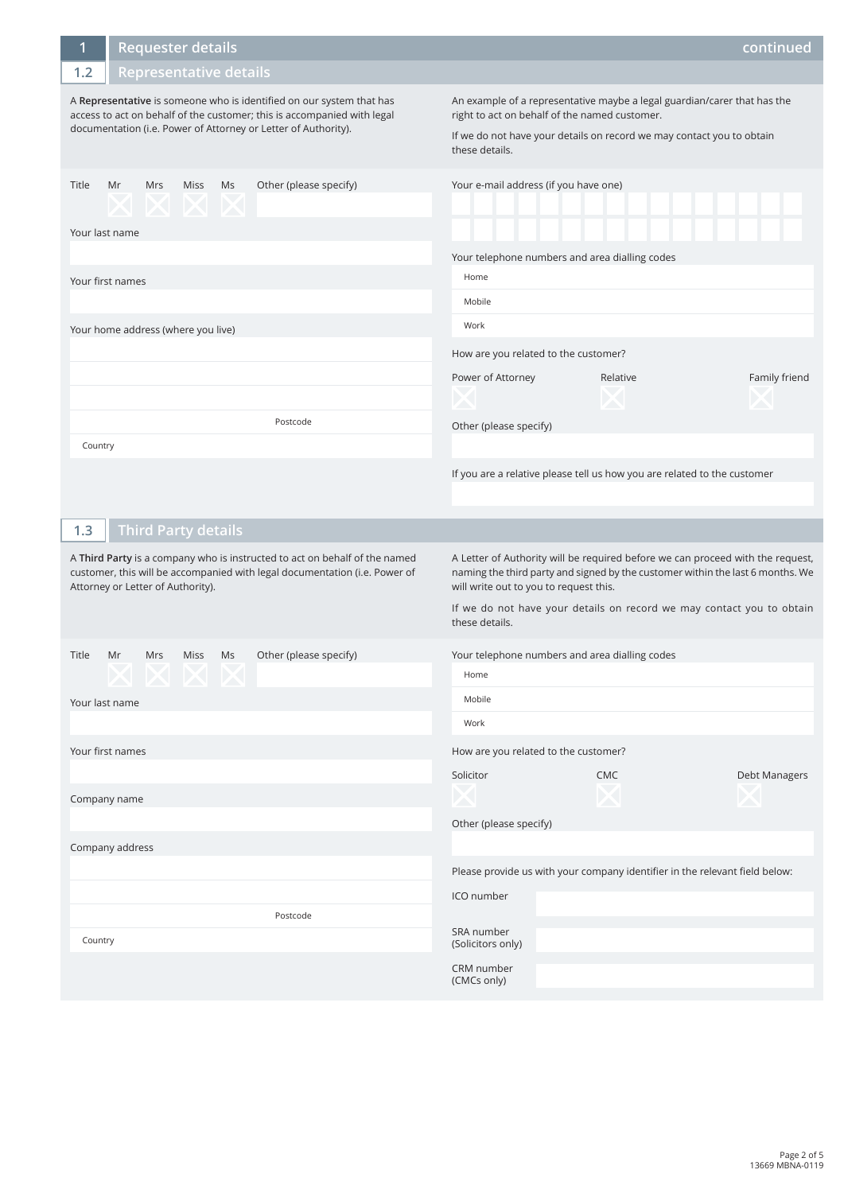| 1       | <b>Requester details</b>                                           |            |                                                                                                                                                                                                                   |                                                                                                                                                                                                                      |            | continued     |
|---------|--------------------------------------------------------------------|------------|-------------------------------------------------------------------------------------------------------------------------------------------------------------------------------------------------------------------|----------------------------------------------------------------------------------------------------------------------------------------------------------------------------------------------------------------------|------------|---------------|
| 1.2     | <b>Representative details</b>                                      |            |                                                                                                                                                                                                                   |                                                                                                                                                                                                                      |            |               |
|         |                                                                    |            | A Representative is someone who is identified on our system that has<br>access to act on behalf of the customer; this is accompanied with legal<br>documentation (i.e. Power of Attorney or Letter of Authority). | An example of a representative maybe a legal guardian/carer that has the<br>right to act on behalf of the named customer.<br>If we do not have your details on record we may contact you to obtain<br>these details. |            |               |
| Title   | Mr<br>Mrs<br>$\times$ $\times$ $\times$ $\times$<br>Your last name | Miss Ms    | Other (please specify)                                                                                                                                                                                            | Your e-mail address (if you have one)                                                                                                                                                                                |            |               |
|         |                                                                    |            |                                                                                                                                                                                                                   | Your telephone numbers and area dialling codes                                                                                                                                                                       |            |               |
|         | Your first names                                                   |            |                                                                                                                                                                                                                   | Home                                                                                                                                                                                                                 |            |               |
|         |                                                                    |            |                                                                                                                                                                                                                   | Mobile                                                                                                                                                                                                               |            |               |
|         | Your home address (where you live)                                 |            |                                                                                                                                                                                                                   | Work                                                                                                                                                                                                                 |            |               |
|         |                                                                    |            |                                                                                                                                                                                                                   | How are you related to the customer?                                                                                                                                                                                 |            |               |
|         |                                                                    |            |                                                                                                                                                                                                                   | Power of Attorney                                                                                                                                                                                                    | Relative   | Family friend |
|         |                                                                    |            |                                                                                                                                                                                                                   |                                                                                                                                                                                                                      |            |               |
|         |                                                                    |            | Postcode                                                                                                                                                                                                          | Other (please specify)                                                                                                                                                                                               |            |               |
| Country |                                                                    |            |                                                                                                                                                                                                                   |                                                                                                                                                                                                                      |            |               |
|         |                                                                    |            |                                                                                                                                                                                                                   | If you are a relative please tell us how you are related to the customer                                                                                                                                             |            |               |
|         |                                                                    |            |                                                                                                                                                                                                                   |                                                                                                                                                                                                                      |            |               |
|         |                                                                    |            |                                                                                                                                                                                                                   |                                                                                                                                                                                                                      |            |               |
| 1.3     | <b>Third Party details</b>                                         |            |                                                                                                                                                                                                                   |                                                                                                                                                                                                                      |            |               |
|         | Attorney or Letter of Authority).                                  |            | A Third Party is a company who is instructed to act on behalf of the named<br>customer, this will be accompanied with legal documentation (i.e. Power of                                                          | A Letter of Authority will be required before we can proceed with the request,<br>naming the third party and signed by the customer within the last 6 months. We<br>will write out to you to request this.           |            |               |
|         |                                                                    |            |                                                                                                                                                                                                                   | If we do not have your details on record we may contact you to obtain<br>these details.                                                                                                                              |            |               |
| Title   | Mr<br>Mrs                                                          | Ms<br>Miss | Other (please specify)                                                                                                                                                                                            | Your telephone numbers and area dialling codes                                                                                                                                                                       |            |               |
|         |                                                                    |            |                                                                                                                                                                                                                   | Home                                                                                                                                                                                                                 |            |               |
|         | Your last name                                                     |            |                                                                                                                                                                                                                   | Mobile                                                                                                                                                                                                               |            |               |
|         |                                                                    |            |                                                                                                                                                                                                                   | Work                                                                                                                                                                                                                 |            |               |
|         | Your first names                                                   |            |                                                                                                                                                                                                                   | How are you related to the customer?                                                                                                                                                                                 |            |               |
|         |                                                                    |            |                                                                                                                                                                                                                   | Solicitor                                                                                                                                                                                                            | <b>CMC</b> | Debt Managers |
|         | Company name                                                       |            |                                                                                                                                                                                                                   |                                                                                                                                                                                                                      | Ж          |               |
|         |                                                                    |            |                                                                                                                                                                                                                   | Other (please specify)                                                                                                                                                                                               |            |               |
|         | Company address                                                    |            |                                                                                                                                                                                                                   |                                                                                                                                                                                                                      |            |               |
|         |                                                                    |            |                                                                                                                                                                                                                   | Please provide us with your company identifier in the relevant field below:                                                                                                                                          |            |               |
|         |                                                                    |            | Postcode                                                                                                                                                                                                          | ICO number                                                                                                                                                                                                           |            |               |
| Country |                                                                    |            |                                                                                                                                                                                                                   | SRA number                                                                                                                                                                                                           |            |               |
|         |                                                                    |            |                                                                                                                                                                                                                   | (Solicitors only)<br>CRM number<br>(CMCs only)                                                                                                                                                                       |            |               |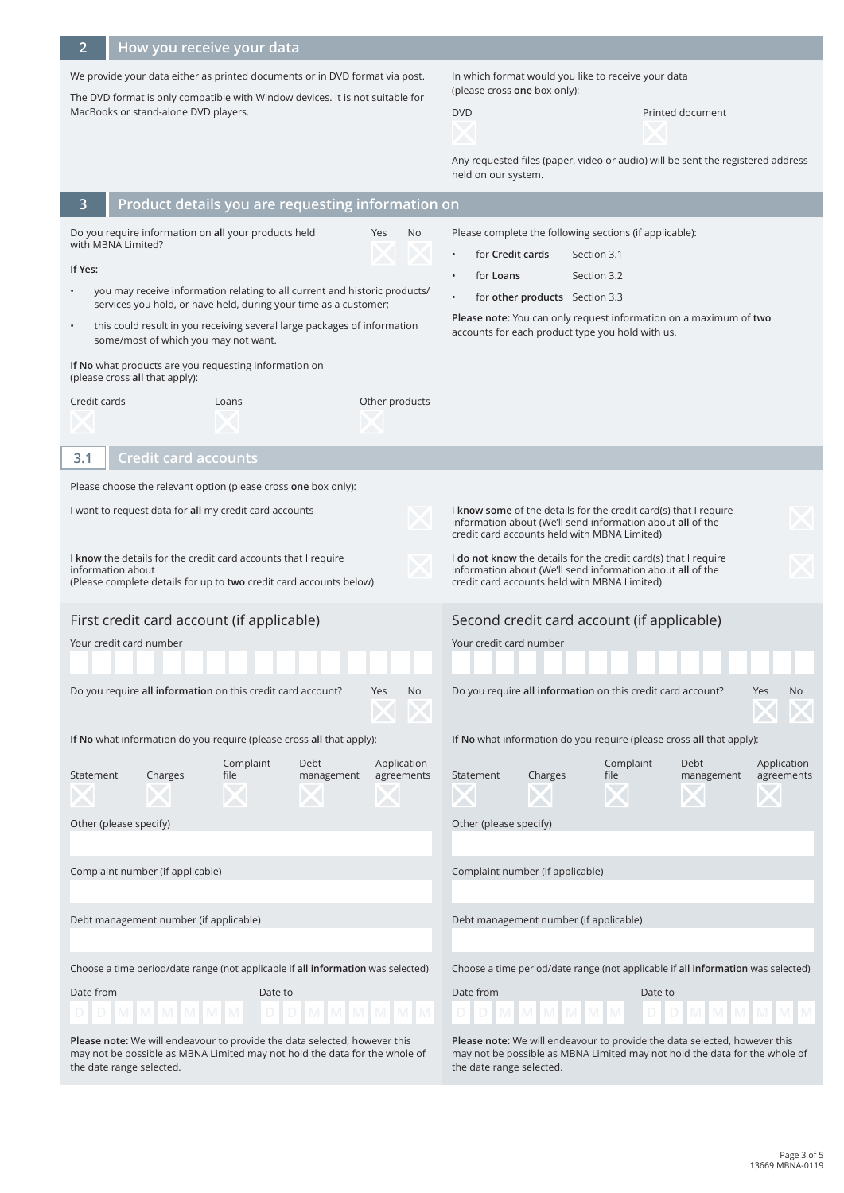**2**

## **How you receive your data**

We provide your data either as printed documents or in DVD format via post.

The DVD format is only compatible with Window devices. It is not suitable for MacBooks or stand-alone DVD players.

In which format would you like to receive your data (please cross **one** box only):

DVD Printed document

Any requested files (paper, video or audio) will be sent the registered address held on our system.

| 3                                                                                                                                                                                    | Product details you are requesting information on                                                                                                         |                                         |                                                                                                                                                                                     |  |  |
|--------------------------------------------------------------------------------------------------------------------------------------------------------------------------------------|-----------------------------------------------------------------------------------------------------------------------------------------------------------|-----------------------------------------|-------------------------------------------------------------------------------------------------------------------------------------------------------------------------------------|--|--|
| Do you require information on all your products held<br>No<br>Yes<br>with MBNA Limited?<br>If Yes:                                                                                   |                                                                                                                                                           |                                         | Please complete the following sections (if applicable):<br>for Credit cards<br>Section 3.1<br>for Loans<br>Section 3.2                                                              |  |  |
| you may receive information relating to all current and historic products/                                                                                                           |                                                                                                                                                           |                                         | for other products Section 3.3<br>$\bullet$                                                                                                                                         |  |  |
| services you hold, or have held, during your time as a customer;<br>this could result in you receiving several large packages of information<br>some/most of which you may not want. |                                                                                                                                                           |                                         | Please note: You can only request information on a maximum of two<br>accounts for each product type you hold with us.                                                               |  |  |
|                                                                                                                                                                                      | If No what products are you requesting information on<br>(please cross all that apply):                                                                   |                                         |                                                                                                                                                                                     |  |  |
| Credit cards                                                                                                                                                                         | Loans                                                                                                                                                     | Other products                          |                                                                                                                                                                                     |  |  |
|                                                                                                                                                                                      |                                                                                                                                                           |                                         |                                                                                                                                                                                     |  |  |
| 3.1                                                                                                                                                                                  | <b>Credit card accounts</b>                                                                                                                               |                                         |                                                                                                                                                                                     |  |  |
|                                                                                                                                                                                      | Please choose the relevant option (please cross one box only):                                                                                            |                                         |                                                                                                                                                                                     |  |  |
|                                                                                                                                                                                      | I want to request data for all my credit card accounts                                                                                                    |                                         | I know some of the details for the credit card(s) that I require<br>information about (We'll send information about all of the<br>credit card accounts held with MBNA Limited)      |  |  |
|                                                                                                                                                                                      | I know the details for the credit card accounts that I require<br>information about<br>(Please complete details for up to two credit card accounts below) |                                         | I do not know the details for the credit card(s) that I require<br>information about (We'll send information about all of the<br>credit card accounts held with MBNA Limited)       |  |  |
|                                                                                                                                                                                      | First credit card account (if applicable)                                                                                                                 |                                         | Second credit card account (if applicable)                                                                                                                                          |  |  |
| Your credit card number                                                                                                                                                              |                                                                                                                                                           |                                         | Your credit card number                                                                                                                                                             |  |  |
|                                                                                                                                                                                      | Do you require all information on this credit card account?                                                                                               | <b>Yes</b><br>No                        | Do you require all information on this credit card account?<br>Yes<br>No.                                                                                                           |  |  |
|                                                                                                                                                                                      | If No what information do you require (please cross all that apply):                                                                                      |                                         | If No what information do you require (please cross all that apply):                                                                                                                |  |  |
| Statement                                                                                                                                                                            | Complaint<br>Debt<br>Charges<br>file                                                                                                                      | Application<br>management<br>agreements | Complaint<br>Application<br>Debt<br>Charges<br>file<br>agreements<br>Statement<br>management                                                                                        |  |  |
|                                                                                                                                                                                      | Other (please specify)                                                                                                                                    |                                         | Other (please specify)                                                                                                                                                              |  |  |
|                                                                                                                                                                                      | Complaint number (if applicable)                                                                                                                          |                                         | Complaint number (if applicable)                                                                                                                                                    |  |  |
| Debt management number (if applicable)                                                                                                                                               |                                                                                                                                                           |                                         | Debt management number (if applicable)                                                                                                                                              |  |  |
| Choose a time period/date range (not applicable if all information was selected)                                                                                                     |                                                                                                                                                           |                                         | Choose a time period/date range (not applicable if all information was selected)                                                                                                    |  |  |
| Date from                                                                                                                                                                            | Date to                                                                                                                                                   |                                         | Date from<br>Date to                                                                                                                                                                |  |  |
|                                                                                                                                                                                      |                                                                                                                                                           |                                         |                                                                                                                                                                                     |  |  |
| Please note: We will endeavour to provide the data selected, however this<br>may not be possible as MBNA Limited may not hold the data for the whole of<br>the date range selected.  |                                                                                                                                                           |                                         | Please note: We will endeavour to provide the data selected, however this<br>may not be possible as MBNA Limited may not hold the data for the whole of<br>the date range selected. |  |  |

Page 3 of 5 13669 MBNA-0119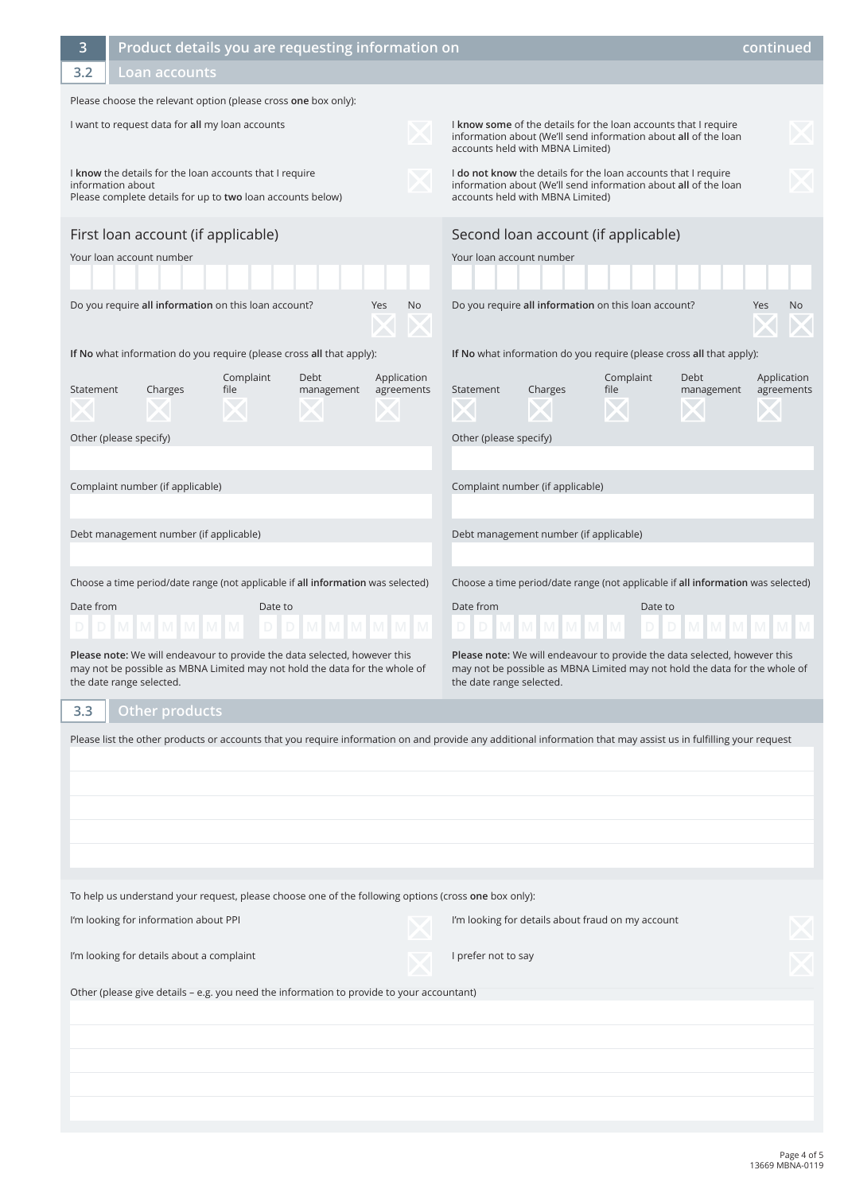| 3                                                                                                                                                               | Product details you are requesting information on<br>continued                                                                                                                                |                                                   |                                                                                                                                                                                                      |                           |  |
|-----------------------------------------------------------------------------------------------------------------------------------------------------------------|-----------------------------------------------------------------------------------------------------------------------------------------------------------------------------------------------|---------------------------------------------------|------------------------------------------------------------------------------------------------------------------------------------------------------------------------------------------------------|---------------------------|--|
| 3.2                                                                                                                                                             | Loan accounts                                                                                                                                                                                 |                                                   |                                                                                                                                                                                                      |                           |  |
| Please choose the relevant option (please cross one box only):                                                                                                  |                                                                                                                                                                                               |                                                   |                                                                                                                                                                                                      |                           |  |
| I want to request data for all my loan accounts                                                                                                                 |                                                                                                                                                                                               |                                                   | I know some of the details for the loan accounts that I require<br>information about (We'll send information about all of the loan<br>accounts held with MBNA Limited)                               |                           |  |
| I know the details for the loan accounts that I require<br>information about<br>Please complete details for up to two loan accounts below)                      |                                                                                                                                                                                               |                                                   | I do not know the details for the loan accounts that I require<br>information about (We'll send information about all of the loan<br>accounts held with MBNA Limited)                                |                           |  |
|                                                                                                                                                                 | First loan account (if applicable)                                                                                                                                                            | Second loan account (if applicable)               |                                                                                                                                                                                                      |                           |  |
|                                                                                                                                                                 | Your loan account number                                                                                                                                                                      |                                                   | Your loan account number                                                                                                                                                                             |                           |  |
|                                                                                                                                                                 | Do you require all information on this loan account?                                                                                                                                          | Yes<br>No                                         | Do you require all information on this loan account?                                                                                                                                                 | No<br>Yes                 |  |
|                                                                                                                                                                 | If No what information do you require (please cross all that apply):                                                                                                                          |                                                   | If No what information do you require (please cross all that apply):                                                                                                                                 |                           |  |
| Statement                                                                                                                                                       | Complaint<br>Debt<br>file<br>Charges<br>management<br>Other (please specify)                                                                                                                  | Application<br>agreements                         | Complaint<br>Debt<br>Statement<br>Charges<br>file<br>management<br>Other (please specify)                                                                                                            | Application<br>agreements |  |
|                                                                                                                                                                 | Complaint number (if applicable)                                                                                                                                                              |                                                   | Complaint number (if applicable)                                                                                                                                                                     |                           |  |
|                                                                                                                                                                 | Debt management number (if applicable)                                                                                                                                                        |                                                   | Debt management number (if applicable)                                                                                                                                                               |                           |  |
| Date from                                                                                                                                                       | Choose a time period/date range (not applicable if all information was selected)<br>Date to<br>D M M M M M<br>M.<br>Please note: We will endeavour to provide the data selected, however this |                                                   | Choose a time period/date range (not applicable if all information was selected)<br>Date from<br>Date to<br>D M M<br>D.<br>Please note: We will endeavour to provide the data selected, however this |                           |  |
|                                                                                                                                                                 | may not be possible as MBNA Limited may not hold the data for the whole of<br>the date range selected.                                                                                        |                                                   | may not be possible as MBNA Limited may not hold the data for the whole of<br>the date range selected.                                                                                               |                           |  |
| 3.3                                                                                                                                                             | Other products                                                                                                                                                                                |                                                   |                                                                                                                                                                                                      |                           |  |
| Please list the other products or accounts that you require information on and provide any additional information that may assist us in fulfilling your request |                                                                                                                                                                                               |                                                   |                                                                                                                                                                                                      |                           |  |
| To help us understand your request, please choose one of the following options (cross one box only):                                                            |                                                                                                                                                                                               |                                                   |                                                                                                                                                                                                      |                           |  |
| I'm looking for information about PPI                                                                                                                           |                                                                                                                                                                                               | I'm looking for details about fraud on my account |                                                                                                                                                                                                      |                           |  |
| I'm looking for details about a complaint                                                                                                                       |                                                                                                                                                                                               | I prefer not to say                               |                                                                                                                                                                                                      |                           |  |
| Other (please give details - e.g. you need the information to provide to your accountant)                                                                       |                                                                                                                                                                                               |                                                   |                                                                                                                                                                                                      |                           |  |
|                                                                                                                                                                 |                                                                                                                                                                                               |                                                   |                                                                                                                                                                                                      |                           |  |
|                                                                                                                                                                 |                                                                                                                                                                                               |                                                   |                                                                                                                                                                                                      |                           |  |
|                                                                                                                                                                 |                                                                                                                                                                                               |                                                   |                                                                                                                                                                                                      |                           |  |